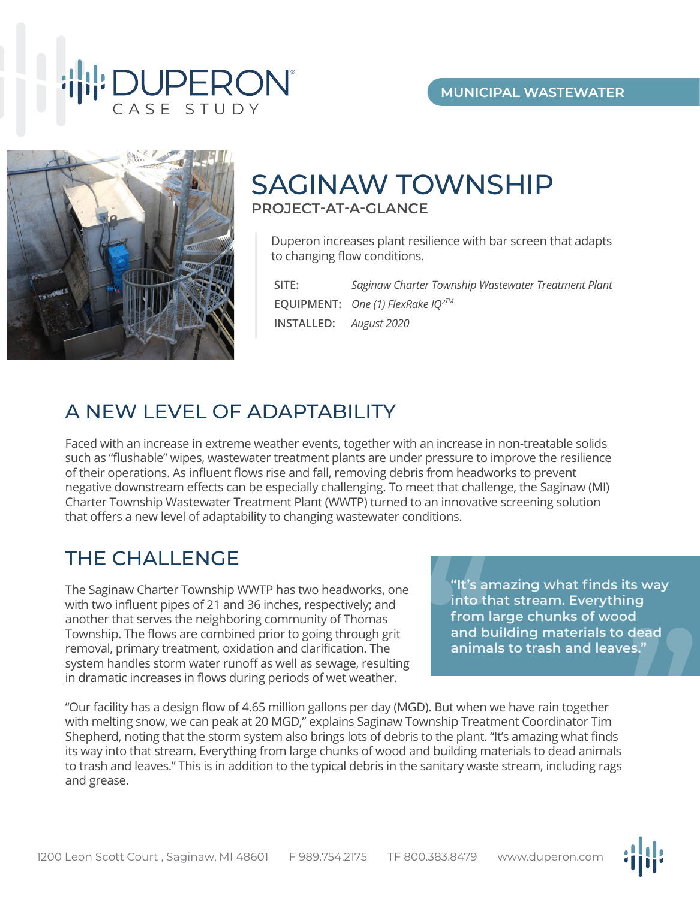

# SAGINAW TOWNSHIP **PROJECT-AT-A-GLANCE**

Duperon increases plant resilience with bar screen that adapts to changing flow conditions.

**SITE:** *Saginaw Charter Township Wastewater Treatment Plant*  **EQUIPMENT:** *One (1) FlexRake IQ2TM* **INSTALLED:** *August 2020*

### A NEW LEVEL OF ADAPTABILITY

Faced with an increase in extreme weather events, together with an increase in non-treatable solids such as "flushable" wipes, wastewater treatment plants are under pressure to improve the resilience of their operations. As influent flows rise and fall, removing debris from headworks to prevent negative downstream effects can be especially challenging. To meet that challenge, the Saginaw (MI) Charter Township Wastewater Treatment Plant (WWTP) turned to an innovative screening solution that offers a new level of adaptability to changing wastewater conditions.

## THE CHALLENGE

The Saginaw Charter Township WWTP has two headworks, one with two influent pipes of 21 and 36 inches, respectively; and another that serves the neighboring community of Thomas Township. The flows are combined prior to going through grit removal, primary treatment, oxidation and clarification. The system handles storm water runoff as well as sewage, resulting in dramatic increases in flows during periods of wet weather.

**"It's amazing what finds its way into that stream. Everything from large chunks of wood and building materials to dead animals to trash and leaves." "**"It's are<br>
into the<br>
from I<br>
and bu<br>
anima

"Our facility has a design flow of 4.65 million gallons per day (MGD). But when we have rain together with melting snow, we can peak at 20 MGD," explains Saginaw Township Treatment Coordinator Tim Shepherd, noting that the storm system also brings lots of debris to the plant. "It's amazing what finds its way into that stream. Everything from large chunks of wood and building materials to dead animals to trash and leaves." This is in addition to the typical debris in the sanitary waste stream, including rags and grease.

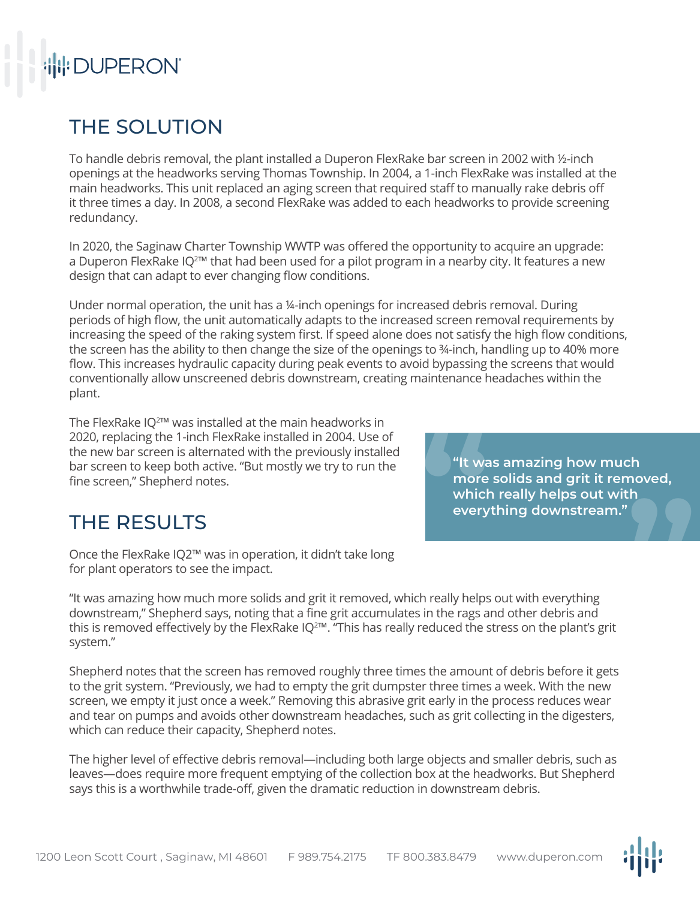# **THE DUPERON**

# THE SOLUTION

To handle debris removal, the plant installed a Duperon FlexRake bar screen in 2002 with ½-inch openings at the headworks serving Thomas Township. In 2004, a 1-inch FlexRake was installed at the main headworks. This unit replaced an aging screen that required staff to manually rake debris off it three times a day. In 2008, a second FlexRake was added to each headworks to provide screening redundancy.

In 2020, the Saginaw Charter Township WWTP was offered the opportunity to acquire an upgrade: a Duperon FlexRake IQ<sup>2™</sup> that had been used for a pilot program in a nearby city. It features a new design that can adapt to ever changing flow conditions.

Under normal operation, the unit has a ¼-inch openings for increased debris removal. During periods of high flow, the unit automatically adapts to the increased screen removal requirements by increasing the speed of the raking system first. If speed alone does not satisfy the high flow conditions, the screen has the ability to then change the size of the openings to ¾-inch, handling up to 40% more flow. This increases hydraulic capacity during peak events to avoid bypassing the screens that would conventionally allow unscreened debris downstream, creating maintenance headaches within the plant.

The FlexRake IQ $^{2}$ ™ was installed at the main headworks in 2020, replacing the 1-inch FlexRake installed in 2004. Use of the new bar screen is alternated with the previously installed bar screen to keep both active. "But mostly we try to run the fine screen," Shepherd notes.

**"It was amazing how much more solids and grit it removed, which really helps out with**  e a transfer that the which the very that the series of the series of the series of the series of the series of the series of the series of the series of the series of the series of the series of the series of the series o **e** "It was amazing how much<br>more solids and grit it removed,<br>which really helps out with<br>everything downstream."

## THE RESULTS

Once the FlexRake IQ2™ was in operation, it didn't take long for plant operators to see the impact.

"It was amazing how much more solids and grit it removed, which really helps out with everything downstream," Shepherd says, noting that a fine grit accumulates in the rags and other debris and this is removed effectively by the FlexRake IQ<sup>2™</sup>. "This has really reduced the stress on the plant's grit system."

Shepherd notes that the screen has removed roughly three times the amount of debris before it gets to the grit system. "Previously, we had to empty the grit dumpster three times a week. With the new screen, we empty it just once a week." Removing this abrasive grit early in the process reduces wear and tear on pumps and avoids other downstream headaches, such as grit collecting in the digesters, which can reduce their capacity, Shepherd notes.

The higher level of effective debris removal—including both large objects and smaller debris, such as leaves—does require more frequent emptying of the collection box at the headworks. But Shepherd says this is a worthwhile trade-off, given the dramatic reduction in downstream debris.